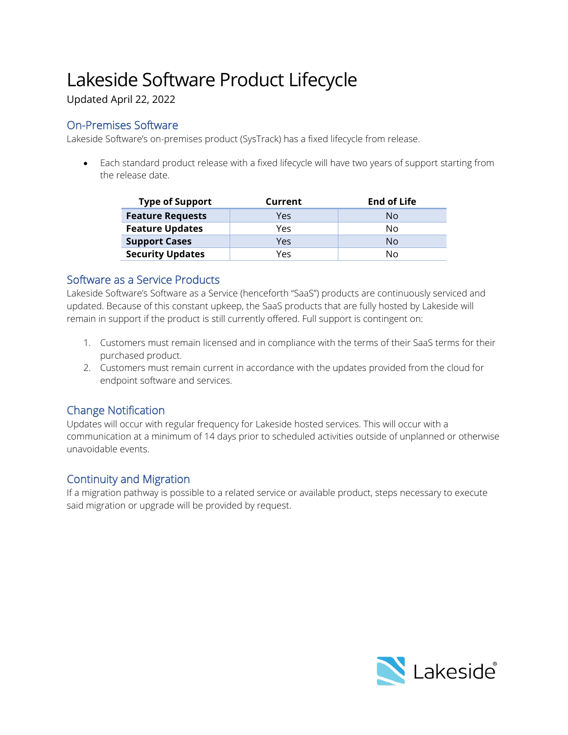# Lakeside Software Product Lifecycle

Updated April 22, 2022

## On-Premises Software

Lakeside Software's on-premises product (SysTrack) has a fixed lifecycle from release.

• Each standard product release with a fixed lifecycle will have two years of support starting from the release date.

| <b>Type of Support</b>  | Current | <b>End of Life</b> |
|-------------------------|---------|--------------------|
| <b>Feature Requests</b> | Yes     | N٥                 |
| <b>Feature Updates</b>  | Yes     | Nο                 |
| <b>Support Cases</b>    | Yes     | Nο                 |
| <b>Security Updates</b> | Yes     | N٥                 |

## Software as a Service Products

Lakeside Software's Software as a Service (henceforth "SaaS") products are continuously serviced and updated. Because of this constant upkeep, the SaaS products that are fully hosted by Lakeside will remain in support if the product is still currently offered. Full support is contingent on:

- 1. Customers must remain licensed and in compliance with the terms of their SaaS terms for their purchased product.
- 2. Customers must remain current in accordance with the updates provided from the cloud for endpoint software and services.

# Change Notification

Updates will occur with regular frequency for Lakeside hosted services. This will occur with a communication at a minimum of 14 days prior to scheduled activities outside of unplanned or otherwise unavoidable events.

## Continuity and Migration

If a migration pathway is possible to a related service or available product, steps necessary to execute said migration or upgrade will be provided by request.